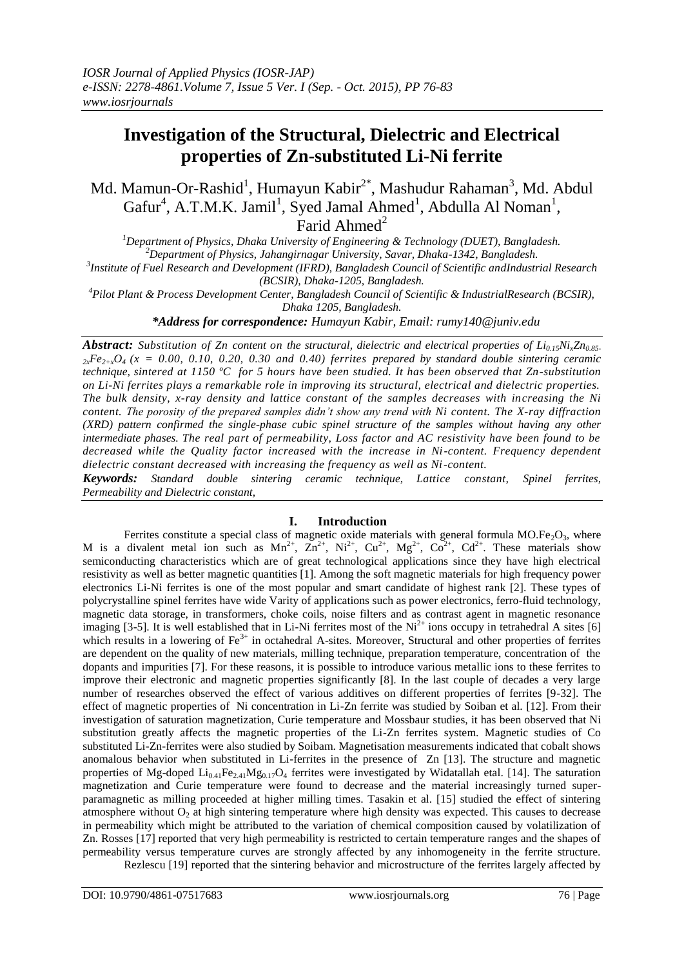# **Investigation of the Structural, Dielectric and Electrical properties of Zn-substituted Li-Ni ferrite**

Md. Mamun-Or-Rashid<sup>1</sup>, Humayun Kabir<sup>2\*</sup>, Mashudur Rahaman<sup>3</sup>, Md. Abdul Gafur<sup>4</sup>, A.T.M.K. Jamil<sup>1</sup>, Syed Jamal Ahmed<sup>1</sup>, Abdulla Al Noman<sup>1</sup>, Farid Ahmed<sup>2</sup>

*Department of Physics, Dhaka University of Engineering & Technology (DUET), Bangladesh. Department of Physics, Jahangirnagar University, Savar, Dhaka-1342, Bangladesh. Institute of Fuel Research and Development (IFRD), Bangladesh Council of Scientific andIndustrial Research (BCSIR), Dhaka-1205, Bangladesh.*

*<sup>4</sup>Pilot Plant & Process Development Center, Bangladesh Council of Scientific & IndustrialResearch (BCSIR), Dhaka 1205, Bangladesh.*

*\*Address for correspondence: Humayun Kabir, Email: rumy140@juniv.edu* 

*Abstract: Substitution of Zn content on the structural, dielectric and electrical properties of Li0.15NixZn0.85-*  $2x$ <sup>*Fe* $2+x$ </sub>*O*<sub>4</sub> ( $x = 0.00$ , 0.10, 0.20, 0.30 and 0.40) ferrites prepared by standard double sintering ceramic</sup> *technique, sintered at 1150 ºC for 5 hours have been studied. It has been observed that Zn-substitution on Li-Ni ferrites plays a remarkable role in improving its structural, electrical and dielectric properties. The bulk density, x-ray density and lattice constant of the samples decreases with increasing the Ni content. The porosity of the prepared samples didn't show any trend with Ni content. The X-ray diffraction (XRD) pattern confirmed the single-phase cubic spinel structure of the samples without having any other intermediate phases. The real part of permeability, Loss factor and AC resistivity have been found to be decreased while the Quality factor increased with the increase in Ni-content. Frequency dependent dielectric constant decreased with increasing the frequency as well as Ni-content.*

*Keywords: Standard double sintering ceramic technique, Lattice constant, Spinel ferrites, Permeability and Dielectric constant,* 

## **I. Introduction**

Ferrites constitute a special class of magnetic oxide materials with general formula  $MO.Fe_2O_3$ , where M is a divalent metal ion such as  $Mn^{2+}$ ,  $\text{Z}n^{2+}$ ,  $Ni^{2+}$ ,  $Cu^{2+}$ ,  $Mg^{2+}$ ,  $Co^{2+}$ ,  $Cd^{2+}$ . These materials show semiconducting characteristics which are of great technological applications since they have high electrical resistivity as well as better magnetic quantities [1]. Among the soft magnetic materials for high frequency power electronics Li-Ni ferrites is one of the most popular and smart candidate of highest rank [2]. These types of polycrystalline spinel ferrites have wide Varity of applications such as power electronics, ferro-fluid technology, magnetic data storage, in transformers, choke coils, noise filters and as contrast agent in magnetic resonance imaging [3-5]. It is well established that in Li-Ni ferrites most of the  $Ni<sup>2+</sup>$  ions occupy in tetrahedral A sites [6] which results in a lowering of  $Fe<sup>3+</sup>$  in octahedral A-sites. Moreover, Structural and other properties of ferrites are dependent on the quality of new materials, milling technique, preparation temperature, concentration of the dopants and impurities [7]. For these reasons, it is possible to introduce various metallic ions to these ferrites to improve their electronic and magnetic properties significantly [8]. In the last couple of decades a very large number of researches observed the effect of various additives on different properties of ferrites [9-32]. The effect of magnetic properties of Ni concentration in Li-Zn ferrite was studied by Soiban et al. [12]. From their investigation of saturation magnetization, Curie temperature and Mossbaur studies, it has been observed that Ni substitution greatly affects the magnetic properties of the Li-Zn ferrites system. Magnetic studies of Co substituted Li-Zn-ferrites were also studied by Soibam. Magnetisation measurements indicated that cobalt shows anomalous behavior when substituted in Li-ferrites in the presence of Zn [13]. The structure and magnetic properties of Mg-doped  $Li_{0.41}Fe_{2.41}Mg_{0.17}O_4$  ferrites were investigated by Widatallah etal. [14]. The saturation magnetization and Curie temperature were found to decrease and the material increasingly turned superparamagnetic as milling proceeded at higher milling times. Tasakin et al. [15] studied the effect of sintering atmosphere without  $O<sub>2</sub>$  at high sintering temperature where high density was expected. This causes to decrease in permeability which might be attributed to the variation of chemical composition caused by volatilization of Zn. Rosses [17] reported that very high permeability is restricted to certain temperature ranges and the shapes of permeability versus temperature curves are strongly affected by any inhomogeneity in the ferrite structure. Rezlescu [19] reported that the sintering behavior and microstructure of the ferrites largely affected by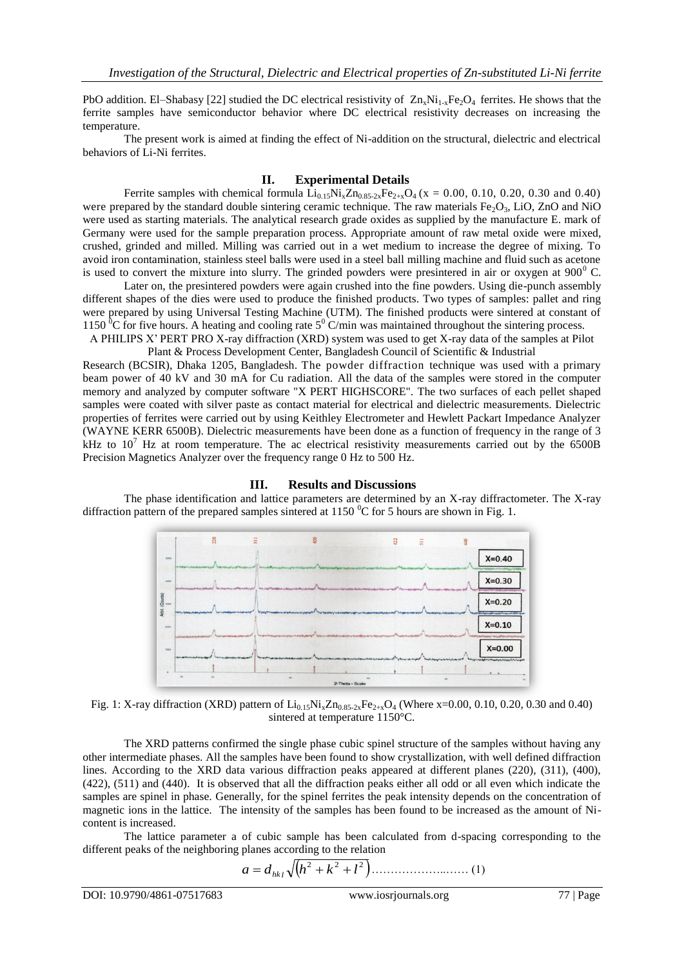PbO addition. El–Shabasy [22] studied the DC electrical resistivity of  $Zn_xNi_{1x}Fe_2O_4$  ferrites. He shows that the ferrite samples have semiconductor behavior where DC electrical resistivity decreases on increasing the temperature.

The present work is aimed at finding the effect of Ni-addition on the structural, dielectric and electrical behaviors of Li-Ni ferrites.

#### **II. Experimental Details**

Ferrite samples with chemical formula  $Li_{0.15}Ni_xZn_{0.85-2x}Fe_{2+x}O_4$  (x = 0.00, 0.10, 0.20, 0.30 and 0.40) were prepared by the standard double sintering ceramic technique. The raw materials  $Fe<sub>2</sub>O<sub>3</sub>$ , LiO, ZnO and NiO were used as starting materials. The analytical research grade oxides as supplied by the manufacture E. mark of Germany were used for the sample preparation process. Appropriate amount of raw metal oxide were mixed, crushed, grinded and milled. Milling was carried out in a wet medium to increase the degree of mixing. To avoid iron contamination, stainless steel balls were used in a steel ball milling machine and fluid such as acetone is used to convert the mixture into slurry. The grinded powders were presintered in air or oxygen at  $900^{\circ}$  C.

Later on, the presintered powders were again crushed into the fine powders. Using die-punch assembly different shapes of the dies were used to produce the finished products. Two types of samples: pallet and ring were prepared by using Universal Testing Machine (UTM). The finished products were sintered at constant of 1150 <sup> $0$ </sup>C for five hours. A heating and cooling rate 5<sup>0</sup> C/min was maintained throughout the sintering process.

A PHILIPS X' PERT PRO X-ray diffraction (XRD) system was used to get X-ray data of the samples at Pilot Plant & Process Development Center, Bangladesh Council of Scientific & Industrial

Research (BCSIR), Dhaka 1205, Bangladesh. The powder diffraction technique was used with a primary beam power of 40 kV and 30 mA for Cu radiation. All the data of the samples were stored in the computer memory and analyzed by computer software "X PERT HIGHSCORE". The two surfaces of each pellet shaped samples were coated with silver paste as contact material for electrical and dielectric measurements. Dielectric properties of ferrites were carried out by using Keithley Electrometer and Hewlett Packart Impedance Analyzer (WAYNE KERR 6500B). Dielectric measurements have been done as a function of frequency in the range of 3 kHz to  $10^7$  Hz at room temperature. The ac electrical resistivity measurements carried out by the 6500B Precision Magnetics Analyzer over the frequency range 0 Hz to 500 Hz.

## **III. Results and Discussions**

The phase identification and lattice parameters are determined by an X-ray diffractometer. The X-ray diffraction pattern of the prepared samples sintered at 1150  $\degree$ C for 5 hours are shown in Fig. 1.



Fig. 1: X-ray diffraction (XRD) pattern of  $Li_{0.15}Ni_xZn_{0.85-2x}Fe_{2+x}O_4$  (Where x=0.00, 0.10, 0.20, 0.30 and 0.40) sintered at temperature 1150°C.

The XRD patterns confirmed the single phase cubic spinel structure of the samples without having any other intermediate phases. All the samples have been found to show crystallization, with well defined diffraction lines. According to the XRD data various diffraction peaks appeared at different planes (220), (311), (400), (422), (511) and (440). It is observed that all the diffraction peaks either all odd or all even which indicate the samples are spinel in phase. Generally, for the spinel ferrites the peak intensity depends on the concentration of magnetic ions in the lattice. The intensity of the samples has been found to be increased as the amount of Nicontent is increased.

The lattice parameter a of cubic sample has been calculated from d-spacing corresponding to the different peaks of the neighboring planes according to the relation

$$
a = d_{hk} \sqrt{(h^2 + k^2 + l^2)}
$$
................. (1)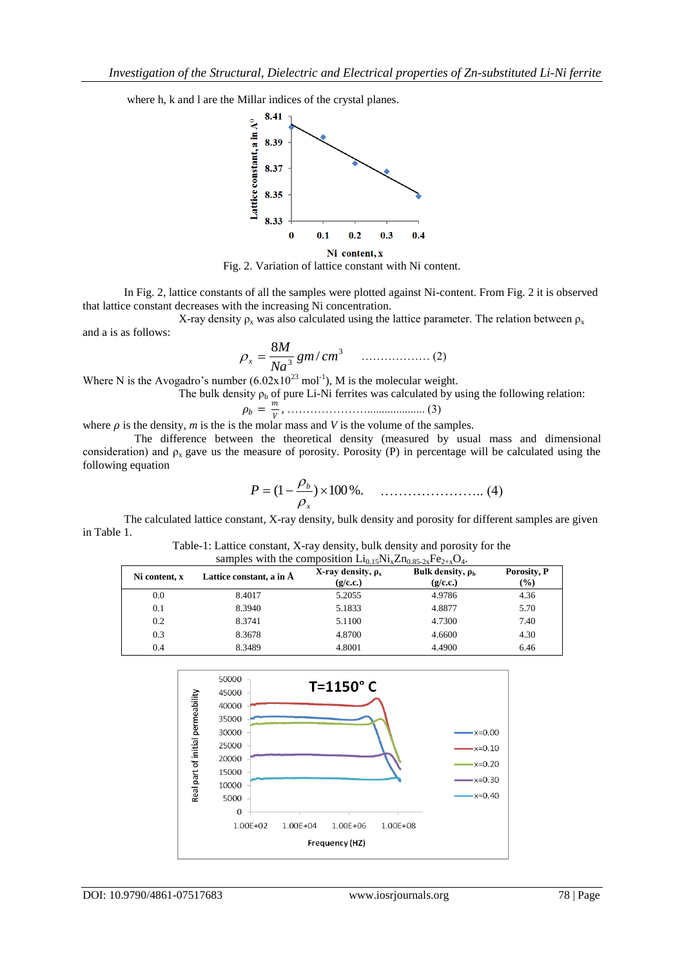where h, k and l are the Millar indices of the crystal planes.



Fig. 2. Variation of lattice constant with Ni content.

In Fig. 2, lattice constants of all the samples were plotted against Ni-content. From Fig. 2 it is observed that lattice constant decreases with the increasing Ni concentration.

X-ray density  $\rho_x$  was also calculated using the lattice parameter. The relation between  $\rho_x$ and a is as follows:

$$
\rho_x = \frac{8M}{Na^3} \, gm/cm^3 \qquad \qquad \dots \dots \dots \dots \dots \dots \tag{2}
$$

Where N is the Avogadro's number  $(6.02 \times 10^{23} \text{ mol}^{-1})$ , M is the molecular weight.

The bulk density  $\rho_b$  of pure Li-Ni ferrites was calculated by using the following relation:

 $\rho_b=\frac{m}{V}$ , ………………….................... (3)

where  $\rho$  is the density,  $m$  is the is the molar mass and  $V$  is the volume of the samples.

 The difference between the theoretical density (measured by usual mass and dimensional consideration) and  $\rho_x$  gave us the measure of porosity. Porosity (P) in percentage will be calculated using the following equation

$$
P = (1 - \frac{\rho_b}{\rho_x}) \times 100\% \qquad \qquad (4)
$$

The calculated lattice constant, X-ray density, bulk density and porosity for different samples are given in Table 1.

Table-1: Lattice constant, X-ray density, bulk density and porosity for the samples with the composition  $Li<sub>0.15</sub>Ni<sub>x</sub>Zn<sub>0.85-2x</sub>Fe<sub>2+x</sub>O<sub>4</sub>$ 

| Ni content. x | Lattice constant, a in A | X-ray density, $\rho_x$<br>(g/c.c.) | Bulk density, $\rho_{\rm h}$<br>(g/c.c.) | Porosity, P<br>$(\%)$ |
|---------------|--------------------------|-------------------------------------|------------------------------------------|-----------------------|
| 0.0           | 8.4017                   | 5.2055                              | 4.9786                                   | 4.36                  |
| 0.1           | 8.3940                   | 5.1833                              | 4.8877                                   | 5.70                  |
| 0.2           | 8.3741                   | 5.1100                              | 4.7300                                   | 7.40                  |
| 0.3           | 8.3678                   | 4.8700                              | 4.6600                                   | 4.30                  |
| 0.4           | 8.3489                   | 4.8001                              | 4.4900                                   | 6.46                  |

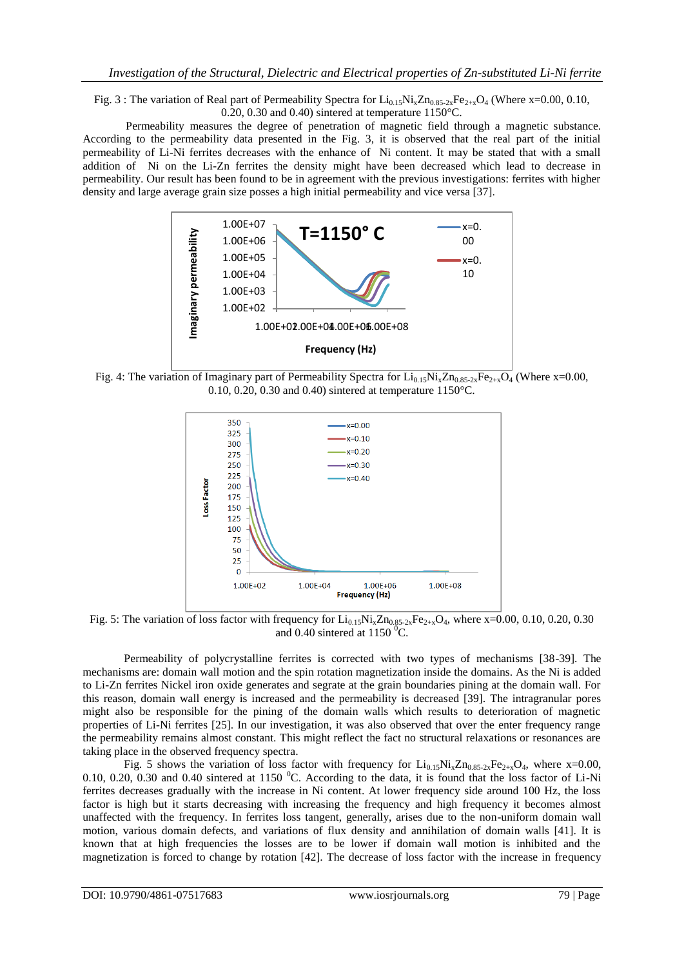Fig. 3 : The variation of Real part of Permeability Spectra for  $Li_{0.15}Ni_xZn_{0.85-2x}Fe_{2+x}O_4$  (Where x=0.00, 0.10, 0.20, 0.30 and 0.40) sintered at temperature 1150°C.

 Permeability measures the degree of penetration of magnetic field through a magnetic substance. According to the permeability data presented in the Fig. 3, it is observed that the real part of the initial permeability of Li-Ni ferrites decreases with the enhance of Ni content. It may be stated that with a small addition of Ni on the Li-Zn ferrites the density might have been decreased which lead to decrease in permeability. Our result has been found to be in agreement with the previous investigations: ferrites with higher density and large average grain size posses a high initial permeability and vice versa [37].



Fig. 4: The variation of Imaginary part of Permeability Spectra for  $Li_{0.15}Ni_xZn_{0.85-2x}Fe_{2+x}O_4$  (Where x=0.00, 0.10, 0.20, 0.30 and 0.40) sintered at temperature 1150°C.



Fig. 5: The variation of loss factor with frequency for  $Li_{0.15}Ni_xZn_{0.85-2x}Fe_{2+x}O_4$ , where x=0.00, 0.10, 0.20, 0.30 and 0.40 sintered at  $1150^{\circ}$ C.

Permeability of polycrystalline ferrites is corrected with two types of mechanisms [38-39]. The mechanisms are: domain wall motion and the spin rotation magnetization inside the domains. As the Ni is added to Li-Zn ferrites Nickel iron oxide generates and segrate at the grain boundaries pining at the domain wall. For this reason, domain wall energy is increased and the permeability is decreased [39]. The intragranular pores might also be responsible for the pining of the domain walls which results to deterioration of magnetic properties of Li-Ni ferrites [25]. In our investigation, it was also observed that over the enter frequency range the permeability remains almost constant. This might reflect the fact no structural relaxations or resonances are taking place in the observed frequency spectra.

Fig. 5 shows the variation of loss factor with frequency for  $Li_{0.15}Ni_xZn_{0.85-2x}Fe_{2+x}O_4$ , where x=0.00, 0.10, 0.20, 0.30 and 0.40 sintered at 1150  $^{\circ}$ C. According to the data, it is found that the loss factor of Li-Ni ferrites decreases gradually with the increase in Ni content. At lower frequency side around 100 Hz, the loss factor is high but it starts decreasing with increasing the frequency and high frequency it becomes almost unaffected with the frequency. In ferrites loss tangent, generally, arises due to the non-uniform domain wall motion, various domain defects, and variations of flux density and annihilation of domain walls [41]. It is known that at high frequencies the losses are to be lower if domain wall motion is inhibited and the magnetization is forced to change by rotation [42]. The decrease of loss factor with the increase in frequency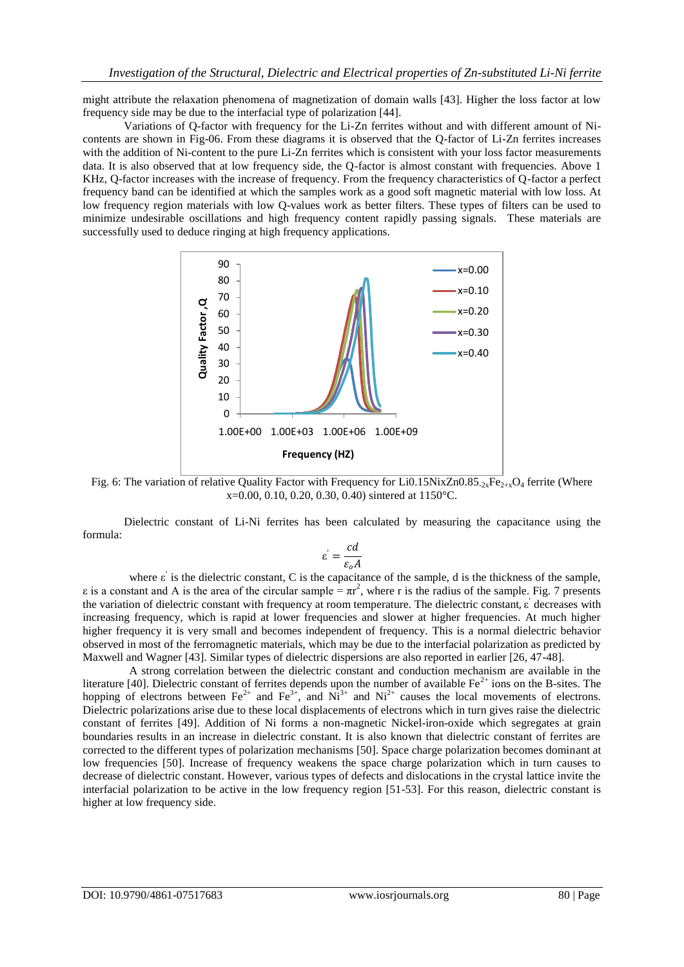might attribute the relaxation phenomena of magnetization of domain walls [43]. Higher the loss factor at low frequency side may be due to the interfacial type of polarization [44].

Variations of Q-factor with frequency for the Li-Zn ferrites without and with different amount of Nicontents are shown in Fig-06. From these diagrams it is observed that the Q-factor of Li-Zn ferrites increases with the addition of Ni-content to the pure Li-Zn ferrites which is consistent with your loss factor measurements data. It is also observed that at low frequency side, the Q-factor is almost constant with frequencies. Above 1 KHz, Q-factor increases with the increase of frequency. From the frequency characteristics of Q-factor a perfect frequency band can be identified at which the samples work as a good soft magnetic material with low loss. At low frequency region materials with low Q-values work as better filters. These types of filters can be used to minimize undesirable oscillations and high frequency content rapidly passing signals. These materials are successfully used to deduce ringing at high frequency applications.



Fig. 6: The variation of relative Quality Factor with Frequency for Li0.15NixZn0.85<sub>-2x</sub>Fe<sub>2+x</sub>O<sub>4</sub> ferrite (Where x=0.00, 0.10, 0.20, 0.30, 0.40) sintered at 1150°C.

Dielectric constant of Li-Ni ferrites has been calculated by measuring the capacitance using the formula:

$$
\varepsilon^{'} = \frac{cd}{\varepsilon_o A}
$$

where  $\varepsilon'$  is the dielectric constant, C is the capacitance of the sample, d is the thickness of the sample,  $ε$  is a constant and A is the area of the circular sample =  $πr^2$ , where r is the radius of the sample. Fig. 7 presents the variation of dielectric constant with frequency at room temperature. The dielectric constant, ε' decreases with increasing frequency, which is rapid at lower frequencies and slower at higher frequencies. At much higher higher frequency it is very small and becomes independent of frequency. This is a normal dielectric behavior observed in most of the ferromagnetic materials, which may be due to the interfacial polarization as predicted by Maxwell and Wagner [43]. Similar types of dielectric dispersions are also reported in earlier [26, 47-48].

A strong correlation between the dielectric constant and conduction mechanism are available in the literature [40]. Dielectric constant of ferrites depends upon the number of available  $Fe^{2+}$  ions on the B-sites. The hopping of electrons between Fe<sup>2+</sup> and Fe<sup>3+</sup>, and Ni<sup>3+</sup> and Ni<sup>2+</sup> causes the local movements of electrons. Dielectric polarizations arise due to these local displacements of electrons which in turn gives raise the dielectric constant of ferrites [49]. Addition of Ni forms a non-magnetic Nickel-iron-oxide which segregates at grain boundaries results in an increase in dielectric constant. It is also known that dielectric constant of ferrites are corrected to the different types of polarization mechanisms [50]. Space charge polarization becomes dominant at low frequencies [50]. Increase of frequency weakens the space charge polarization which in turn causes to decrease of dielectric constant. However, various types of defects and dislocations in the crystal lattice invite the interfacial polarization to be active in the low frequency region [51-53]. For this reason, dielectric constant is higher at low frequency side.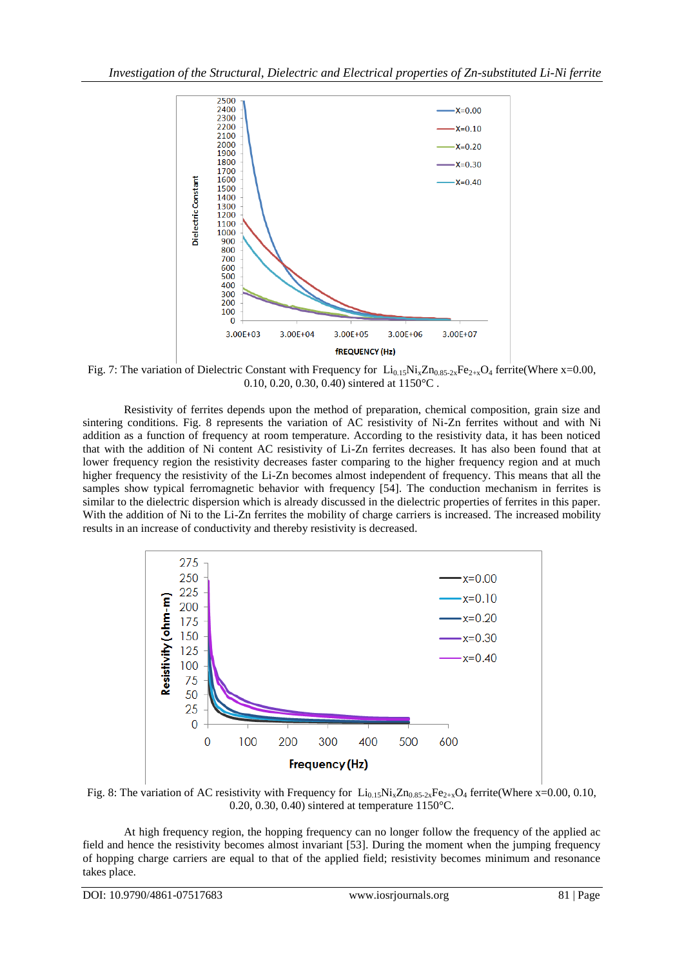

Fig. 7: The variation of Dielectric Constant with Frequency for  $Li_{0.15}Ni_xZn_{0.85-2x}Fe_{2+x}O_4$  ferrite(Where x=0.00, 0.10, 0.20, 0.30, 0.40) sintered at 1150°C .

Resistivity of ferrites depends upon the method of preparation, chemical composition, grain size and sintering conditions. Fig. 8 represents the variation of AC resistivity of Ni-Zn ferrites without and with Ni addition as a function of frequency at room temperature. According to the resistivity data, it has been noticed that with the addition of Ni content AC resistivity of Li-Zn ferrites decreases. It has also been found that at lower frequency region the resistivity decreases faster comparing to the higher frequency region and at much higher frequency the resistivity of the Li-Zn becomes almost independent of frequency. This means that all the samples show typical ferromagnetic behavior with frequency [54]. The conduction mechanism in ferrites is similar to the dielectric dispersion which is already discussed in the dielectric properties of ferrites in this paper. With the addition of Ni to the Li-Zn ferrites the mobility of charge carriers is increased. The increased mobility results in an increase of conductivity and thereby resistivity is decreased.



Fig. 8: The variation of AC resistivity with Frequency for  $Li_{0.15}Ni_xZn_{0.85-2x}Fe_{2+x}O_4$  ferrite(Where x=0.00, 0.10, 0.20, 0.30, 0.40) sintered at temperature 1150°C.

At high frequency region, the hopping frequency can no longer follow the frequency of the applied ac field and hence the resistivity becomes almost invariant [53]. During the moment when the jumping frequency of hopping charge carriers are equal to that of the applied field; resistivity becomes minimum and resonance takes place.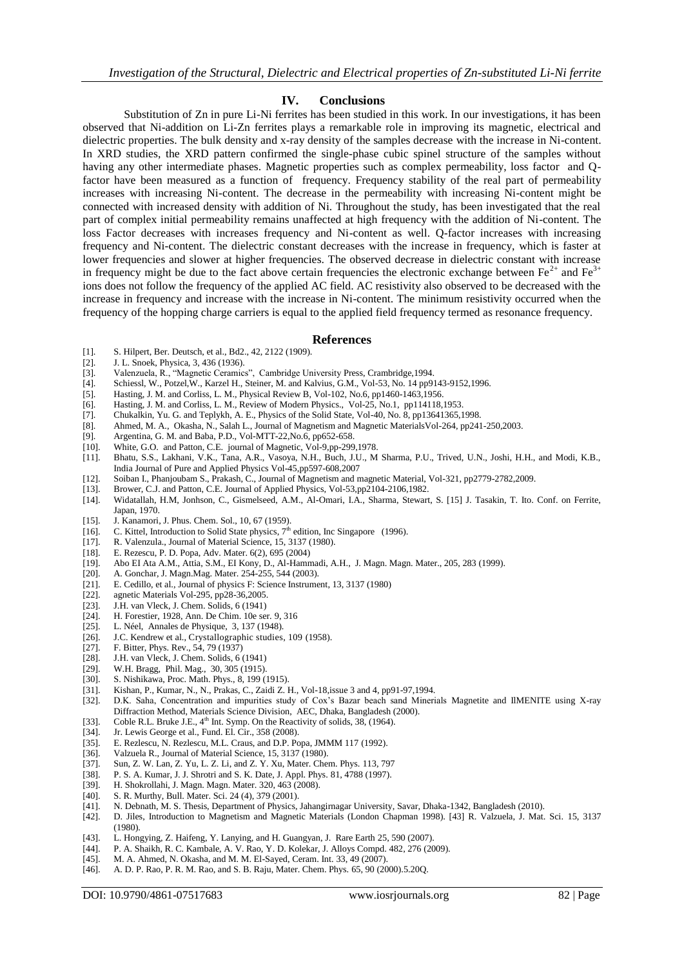#### **IV. Conclusions**

Substitution of Zn in pure Li-Ni ferrites has been studied in this work. In our investigations, it has been observed that Ni-addition on Li-Zn ferrites plays a remarkable role in improving its magnetic, electrical and dielectric properties. The bulk density and x-ray density of the samples decrease with the increase in Ni-content. In XRD studies, the XRD pattern confirmed the single-phase cubic spinel structure of the samples without having any other intermediate phases. Magnetic properties such as complex permeability, loss factor and Qfactor have been measured as a function of frequency. Frequency stability of the real part of permeability increases with increasing Ni-content. The decrease in the permeability with increasing Ni-content might be connected with increased density with addition of Ni. Throughout the study, has been investigated that the real part of complex initial permeability remains unaffected at high frequency with the addition of Ni-content. The loss Factor decreases with increases frequency and Ni-content as well. Q-factor increases with increasing frequency and Ni-content. The dielectric constant decreases with the increase in frequency, which is faster at lower frequencies and slower at higher frequencies. The observed decrease in dielectric constant with increase in frequency might be due to the fact above certain frequencies the electronic exchange between  $Fe^{2+}$  and  $Fe^{3+}$ ions does not follow the frequency of the applied AC field. AC resistivity also observed to be decreased with the increase in frequency and increase with the increase in Ni-content. The minimum resistivity occurred when the frequency of the hopping charge carriers is equal to the applied field frequency termed as resonance frequency.

#### **References**

- [1]. S. Hilpert, Ber. Deutsch, et al., Bd2., 42, 2122 (1909).
- [2]. J. L. Snoek, Physica, 3, 436 (1936).
- [3]. Valenzuela, R., "Magnetic Ceramics", Cambridge University Press, Crambridge,1994.
- Schiessl, W., Potzel, W., Karzel H., Steiner, M. and Kalvius, G.M., Vol-53, No. 14 pp9143-9152,1996.
- [5]. Hasting, J. M. and Corliss, L. M., Physical Review B, Vol-102, No.6, pp1460-1463,1956.
- [6]. Hasting, J. M. and Corliss, L. M., Review of Modern Physics., Vol-25, No.1, pp114118,1953.
- 
- [7]. Chukalkin, Yu. G. and Teplykh, A. E., Physics of the Solid State, Vol-40, No. 8, pp13641365,1998. [8]. Ahmed, M. A., Okasha, N., Salah L., Journal of Magnetism and Magnetic Materials Vol-264, pp241-250,2003.<br>[9]. Argentina, G. M. and Baba, P.D., Vol-MTT-22, No.6, pp652-658.
- Argentina, G. M. and Baba, P.D., Vol-MTT-22, No.6, pp652-658.
- [10]. White, G.O. and Patton, C.E. journal of Magnetic, Vol-9,pp-299,1978.
- [11]. Bhatu, S.S., Lakhani, V.K., Tana, A.R., Vasoya, N.H., Buch, J.U., M Sharma, P.U., Trived, U.N., Joshi, H.H., and Modi, K.B., India Journal of Pure and Applied Physics Vol-45,pp597-608,2007
- [12]. Soiban I., Phanjoubam S., Prakash, C., Journal of Magnetism and magnetic Material, Vol-321, pp2779-2782,2009.
- [13]. Brower, C.J. and Patton, C.E. Journal of Applied Physics, Vol-53,pp2104-2106,1982.
- [14]. Widatallah, H.M, Jonhson, C., Gismelseed, A.M., Al-Omari, I.A., Sharma, Stewart, S. [15] J. Tasakin, T. Ito. Conf. on Ferrite,
- Japan, 1970.
- [15]. J. Kanamori, J. Phus. Chem. Sol., 10, 67 (1959).
- [16]. C. Kittel, Introduction to Solid State physics,  $7<sup>th</sup>$  edition, Inc Singapore (1996).
- [17]. R. Valenzula., Journal of Material Science, 15, 3137 (1980).
- [18]. E. Rezescu, P. D. Popa, Adv. Mater. 6(2), 695 (2004)
- [19]. Abo EI Ata A.M., Attia, S.M., EI Kony, D., Al-Hammadi, A.H., J. Magn. Magn. Mater., 205, 283 (1999).
- [20]. A. Gonchar, J. Magn.Mag. Mater. 254-255, 544 (2003).<br>[21]. E. Cedillo. et al., Journal of physics F: Science Instrume
- E. Cedillo, et al., Journal of physics F: Science Instrument, 13, 3137 (1980)
- [22]. agnetic Materials Vol-295, pp28-36,2005.
- [23]. J.H. van Vleck, J. Chem. Solids, 6 (1941)
- [24]. H. Forestier, 1928, Ann. De Chim. 10e ser. 9, 316]<br>[25]. L. Néel, Annales de Physique, 3, 137 (1948).
- L. Néel, Annales de Physique, 3, 137 (1948).
- [26]. J.C. Kendrew et al., Crystallographic studies, 109 (1958).<br>[27]. F. Bitter, Phys. Rev., 54, 79 (1937)
- [27]. F. Bitter, Phys. Rev., 54, 79 (1937)<br>[28]. J.H. van Vleck, J. Chem. Solids, 6 (
- J.H. van Vleck, J. Chem. Solids, 6 (1941)
- [29]. W.H. Bragg, Phil. Mag., 30, 305 (1915).
- [30]. S. Nishikawa, Proc. Math. Phys., 8, 199 (1915).
- [31]. Kishan, P., Kumar, N., N., Prakas, C., Zaidi Z. H., Vol-18,issue 3 and 4, pp91-97,1994.
- [32]. D.K. Saha, Concentration and impurities study of Cox's Bazar beach sand Minerials Magnetite and IlMENITE using X-ray Diffraction Method, Materials Science Division, AEC, Dhaka, Bangladesh (2000).
- [33]. Coble R.L. Bruke J.E.,  $4<sup>th</sup>$  Int. Symp. On the Reactivity of solids, 38, (1964).
- [34]. Jr. Lewis George et al., Fund. El. Cir., 358 (2008).
- [35]. E. Rezlescu, N. Rezlescu, M.L. Craus, and D.P. Popa, JMMM 117 (1992).
- [36]. Valzuela R., Journal of Material Science, 15, 3137 (1980).
- [37]. Sun, Z. W. Lan, Z. Yu, L. Z. Li, and Z. Y. Xu, Mater. Chem. Phys. 113, 797
- [38]. P. S. A. Kumar, J. J. Shrotri and S. K. Date, J. Appl. Phys. 81, 4788 (1997).
- [39]. H. Shokrollahi, J. Magn. Magn. Mater. 320, 463 (2008).<br>[40]. S. R. Murthy, Bull. Mater. Sci. 24 (4), 379 (2001).
- 
- [40]. S. R. Murthy, Bull. Mater. Sci. 24 (4), 379 (2001).<br>[41]. N. Debnath, M. S. Thesis, Department of Physics, [41]. N. Debnath, M. S. Thesis, Department of Physics, Jahangirnagar University, Savar, Dhaka-1342, Bangladesh (2010).
- [42]. D. Jiles, Introduction to Magnetism and Magnetic Materials (London Chapman 1998). [43] R. Valzuela, J. Mat. Sci. 15, 3137 (1980).
- 
- [43]. L. Hongying, Z. Haifeng, Y. Lanying, and H. Guangyan, J. Rare Earth 25, 590 (2007). [44]. P. A. Shaikh, R. C. Kambale, A. V. Rao, Y. D. Kolekar, J. Alloys Compd. 482, 276 (2009).
- [45]. M. A. Ahmed, N. Okasha, and M. M. El-Sayed, Ceram. Int. 33, 49 (2007).
- [46]. A. D. P. Rao, P. R. M. Rao, and S. B. Raju, Mater. Chem. Phys. 65, 90 (2000).5.20Q.